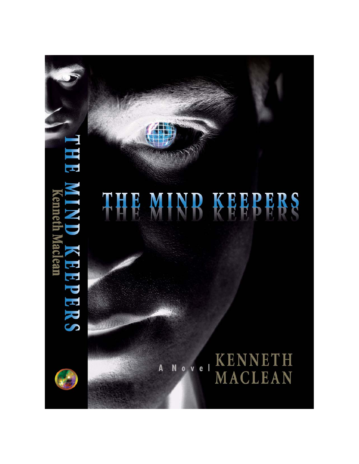# THE Ľ enneth Maclear 3 **REPERS**



A

**KENNETH** ovel N MACLEAN

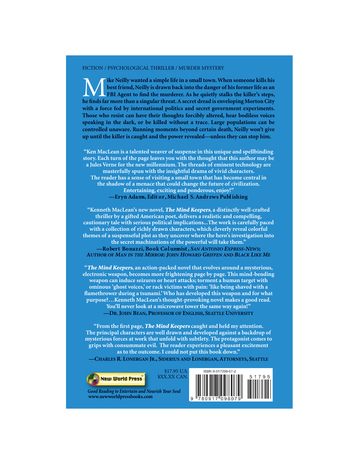#### FICTION / PSYCHOLOGICAL THRILLER / MURDER MYSTERY

The Meilly wanted a simple life in a small town. When someone kills his best friend, Neilly is drawn back into the danger of his former life as an FBI Agent to find the murderer. As he quietly stalks the killer's steps, he best friend, Neilly is drawn back into the danger of his former life as an **EXPLORED EXPLORED EDGE IS NOT THE EXPLORED EDGE IS A FIGURE TO FAIL FIGURE THE ISLAMA TO FIGURE THE ISLAMA TO FIGURE THE ISLAMA TO FIGURE THE ISLAMA TO FIGURE THE ISLAMA TO FIGURE THE ISLAMA TO FIGURE THE ISLAMA TO FIGURE he finds far more than a singular threat. A secret dread is enveloping Morton City** with a force fed by international politics and secret government experiments. Those who resist can have their thoughts forcibly altered, hear bodiless voices speaking in the dark, or be killed without a trace. Large populations can be controlled unaware. Running moments beyond certain death, Neilly won't give up until the killer is caught and the power revealed—unless they can stop him.

"Ken MacLean is a talented weaver of suspense in this unique and spellbinding story. Each turn of the page leaves you with the thought that this author may be a Jules Verne for the new millennium. The threads of eminent technology are masterfully spun with the insightful drama of vivid characters. The reader has a sense of visiting a small town that has become central in the shadow of a menace that could change the future of civilization. **Entertaining, exciting and ponderous, enjoy!" -Eryn Adams, Edit or, Michael S. Andrews Publishing** 

"Kenneth MacLean's new novel, The Mind Keepers, a distinctly well-crafted thriller by a gifted American poet, delivers a realistic and compelling, cautionary tale with serious political implications...The work is carefully paced with a collection of richly drawn characters, which cleverly reveal colorful themes of a suspenseful plot as they uncover where the hero's investigation into the secret machinations of the powerful will take them." -Robert Bonazzi, Book Columnist, SAN ANTONIO EXPRESS-NEWS; **AUTHOR OF MAN IN THE MIRROR: JOHN HOWARD GRIFFEN AND BLACK LIKE ME** 

"The Mind Keepers, an action-packed novel that evolves around a mysterious, electronic weapon, becomes more frightening page by page. This mind-bending weapon can induce seizures or heart attacks; torment a human target with ominous 'ghost voices,' or rack victims with pain: 'like being shaved with a flamethrower during a tsunami.' Who has developed this weapon and for what purpose?...Kenneth MacLean's thought-provoking novel makes a good read. You'll never look at a microwave tower the same way again!" -DR. JOHN BEAN, PROFESSOR OF ENGLISH, SEATTLE UNIVERSITY

"From the first page, **The Mind Keepers** caught and held my attention. The principal characters are well drawn and developed against a backdrop of mysterious forces at work that unfold with subtlety. The protagonist comes to grips with consummate evil. The reader experiences a pleasant excitement as to the outcome. I could not put this book down."

CHARLES R. LONERGAN JR., SIDERIUS AND LONERGAN, ATTORNEYS, SEATTLE



**Good Reading to Entertain and Nourish Your Soul WWWNEWWORLDPRESSBOOKSCOM**

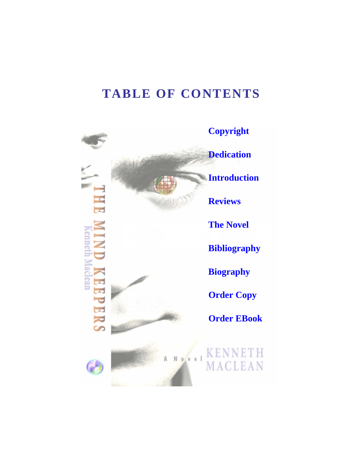## **TABLE OF CONTENTS**

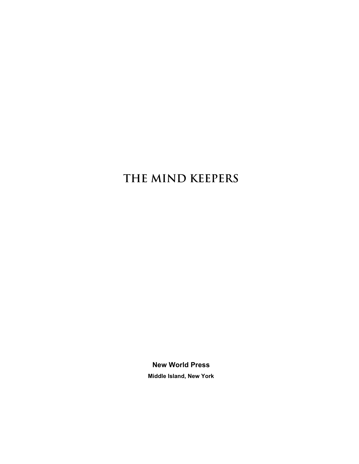## **THE MIND KEEPERS**

**New World Press Middle Island, New York**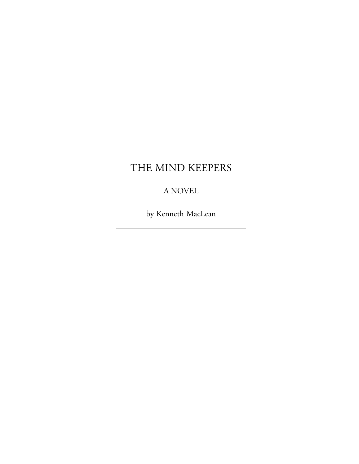### THE MIND KEEPERS

#### A NOVEL

by Kenneth MacLean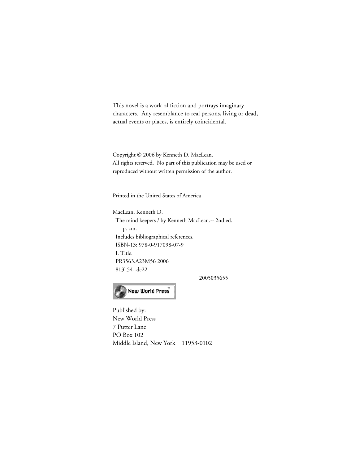<span id="page-5-0"></span>This novel is a work of fiction and portrays imaginary characters. Any resemblance to real persons, living or dead, actual events or places, is entirely coincidental.

Copyright © 2006 by Kenneth D. MacLean. All rights reserved. No part of this publication may be used or reproduced without written permission of the author.

Printed in the United States of America

MacLean, Kenneth D. The mind keepers / by Kenneth MacLean.-- 2nd ed. p. cm. Includes bibliographical references. ISBN-13: 978-0-917098-07-9 I. Title. PR3563.A23M56 2006 813'.54--dc22

2005035655



Published by: New World Press 7 Putter Lane PO Box 102 Middle Island, New York 11953-0102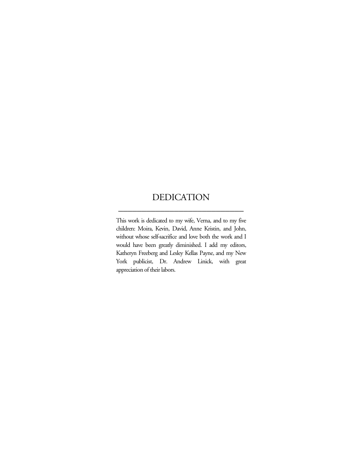#### <span id="page-6-0"></span>DEDICATION \_\_\_\_\_\_\_\_\_\_\_\_\_\_\_\_\_\_\_\_\_\_\_\_\_\_\_

This work is dedicated to my wife, Verna, and to my five children: Moira, Kevin, David, Anne Kristin, and John, without whose self-sacrifice and love both the work and I would have been greatly diminished. I add my editors, Katheryn Freeberg and Lesley Kellas Payne, and my New York publicist, Dr. Andrew Linick, with great appreciation of their labors.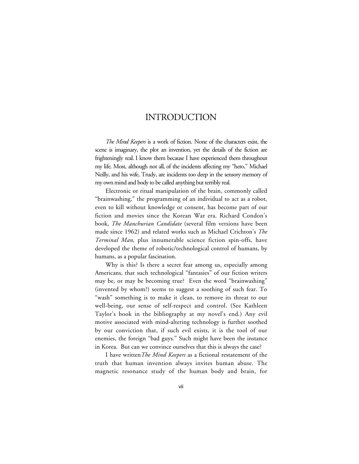#### INTRODUCTION

<span id="page-7-0"></span>*The Mind Keepers* is a work of fiction. None of the characters exist, the scene is imaginary, the plot an invention, yet the details of the fiction are frighteningly real. I know them because I have experienced them throughout my life. Most, although not all, of the incidents affecting my "hero," Michael Neilly, and his wife, Trudy, are incidents too deep in the sensory memory of my own mind and body to be called anything but terribly real.

Electronic or ritual manipulation of the brain, commonly called "brainwashing," the programming of an individual to act as a robot, even to kill without knowledge or consent, has become part of our fiction and movies since the Korean War era. Richard Condon's book, *The Manchurian Candidate* (several film versions have been made since 1962) and related works such as Michael Crichton's *The Terminal Man*, plus innumerable science fiction spin-offs, have developed the theme of robotic/technological control of humans, by humans, as a popular fascination.

Why is this? Is there a secret fear among us, especially among Americans, that such technological "fantasies" of our fiction writers may be, or may be becoming true? Even the word "brainwashing" (invented by whom?) seems to suggest a soothing of such fear. To "wash" something is to make it clean, to remove its threat to our well-being, our sense of self-respect and control. (See Kathleen Taylor's book in the bibliography at my novel's end.) Any evil motive associated with mind-altering technology is further soothed by our conviction that, if such evil exists, it is the tool of our enemies, the foreign "bad guys." Such might have been the instance in Korea. But can we convince ourselves that this is always the case?

I have written*The Mind Keepers* as a fictional restatement of the truth that human invention always invites human abuse. The magnetic resonance study of the human body and brain, for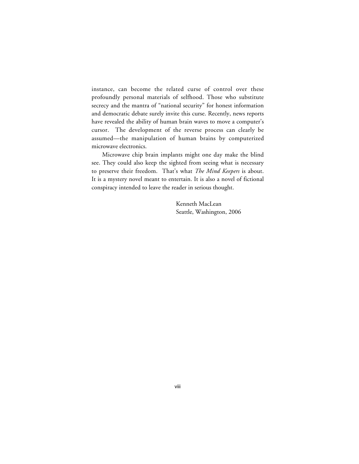instance, can become the related curse of control over these profoundly personal materials of selfhood. Those who substitute secrecy and the mantra of "national security" for honest information and democratic debate surely invite this curse. Recently, news reports have revealed the ability of human brain waves to move a computer's cursor. The development of the reverse process can clearly be assumed—the manipulation of human brains by computerized microwave electronics.

Microwave chip brain implants might one day make the blind see. They could also keep the sighted from seeing what is necessary to preserve their freedom. That's what *The Mind Keepers* is about. It is a mystery novel meant to entertain. It is also a novel of fictional conspiracy intended to leave the reader in serious thought.

> Kenneth MacLean Seattle, Washington, 2006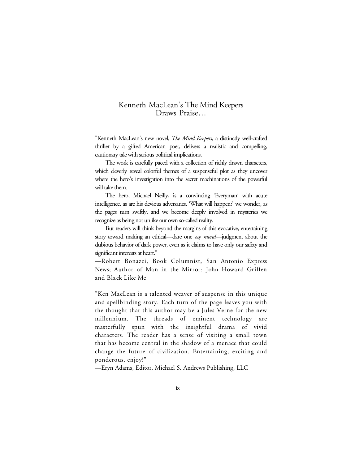#### <span id="page-9-0"></span>Kenneth MacLean's The Mind Keepers Draws Praise…

"Kenneth MacLean's new novel, *The Mind Keepers,* a distinctly well-crafted thriller by a gifted American poet, delivers a realistic and compelling, cautionary tale with serious political implications.

The work is carefully paced with a collection of richly drawn characters, which cleverly reveal colorful themes of a suspenseful plot as they uncover where the hero's investigation into the secret machinations of the powerful will take them.

The hero, Michael Neilly, is a convincing 'Everyman' with acute intelligence, as are his devious adversaries. 'What will happen?' we wonder, as the pages turn swiftly, and we become deeply involved in mysteries we recognize as being not unlike our own so-called reality.

But readers will think beyond the margins of this evocative, entertaining story toward making an ethical*—*dare one say *moral—*judgment about the dubious behavior of dark power, even as it claims to have only our safety and significant interests at heart."

—Robert Bonazzi, Book Columnist, San Antonio Express News; Author of Man in the Mirror: John Howard Griffen and Black Like Me

"Ken MacLean is a talented weaver of suspense in this unique and spellbinding story. Each turn of the page leaves you with the thought that this author may be a Jules Verne for the new millennium. The threads of eminent technology are masterfully spun with the insightful drama of vivid characters. The reader has a sense of visiting a small town that has become central in the shadow of a menace that could change the future of civilization. Entertaining, exciting and ponderous, enjoy!"

—Eryn Adams, Editor, Michael S. Andrews Publishing, LLC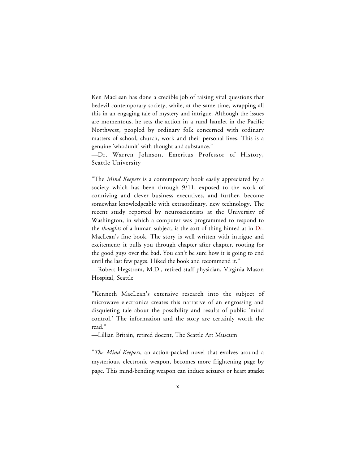Ken MacLean has done a credible job of raising vital questions that bedevil contemporary society, while, at the same time, wrapping all this in an engaging tale of mystery and intrigue. Although the issues are momentous, he sets the action in a rural hamlet in the Pacific Northwest, peopled by ordinary folk concerned with ordinary matters of school, church, work and their personal lives. This is a genuine 'whodunit' with thought and substance."

—Dr. Warren Johnson, Emeritus Professor of History, Seattle University

"The *Mind Keepers* is a contemporary book easily appreciated by a society which has been through 9/11, exposed to the work of conniving and clever business executives, and further, become somewhat knowledgeable with extraordinary, new technology. The recent study reported by neuroscientists at the University of Washington, in which a computer was programmed to respond to the *thoughts* of a human subject, is the sort of thing hinted at in Dr. MacLean's fine book. The story is well written with intrigue and excitement; it pulls you through chapter after chapter, rooting for the good guys over the bad. You can't be sure how it is going to end until the last few pages. I liked the book and recommend it."

—Robert Hegstrom, M.D., retired staff physician, Virginia Mason Hospital, Seattle

"Kenneth MacLean's extensive research into the subject of microwave electronics creates this narrative of an engrossing and disquieting tale about the possibility and results of public 'mind control.' The information and the story are certainly worth the read."

—Lillian Britain, retired docent, The Seattle Art Museum

"*The Mind Keepers*, an action-packed novel that evolves around a mysterious, electronic weapon, becomes more frightening page by page. This mind-bending weapon can induce seizures or heart attacks;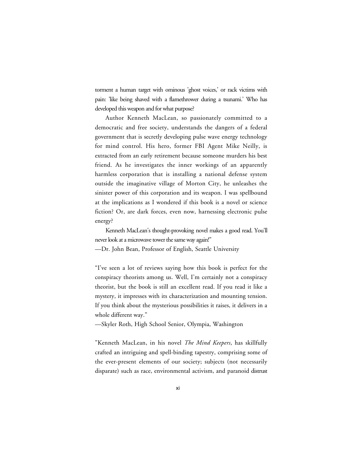torment a human target with ominous 'ghost voices,' or rack victims with pain: 'like being shaved with a flamethrower during a tsunami.' Who has developed this weapon and for what purpose?

Author Kenneth MacLean, so passionately committed to a democratic and free society, understands the dangers of a federal government that is secretly developing pulse wave energy technology for mind control. His hero, former FBI Agent Mike Neilly, is extracted from an early retirement because someone murders his best friend. As he investigates the inner workings of an apparently harmless corporation that is installing a national defense system outside the imaginative village of Morton City, he unleashes the sinister power of this corporation and its weapon. I was spellbound at the implications as I wondered if this book is a novel or science fiction? Or, are dark forces, even now, harnessing electronic pulse energy?

Kenneth MacLean's thought-provoking novel makes a good read. You'll never look at a microwave tower the same way again!"

—Dr. John Bean, Professor of English, Seattle University

"I've seen a lot of reviews saying how this book is perfect for the conspiracy theorists among us. Well, I'm certainly not a conspiracy theorist, but the book is still an excellent read. If you read it like a mystery, it impresses with its characterization and mounting tension. If you think about the mysterious possibilities it raises, it delivers in a whole different way."

—Skyler Roth, High School Senior, Olympia, Washington

"Kenneth MacLean, in his novel *The Mind Keepers*, has skillfully crafted an intriguing and spell-binding tapestry, comprising some of the ever-present elements of our society; subjects (not necessarily disparate) such as race, environmental activism, and paranoid distrust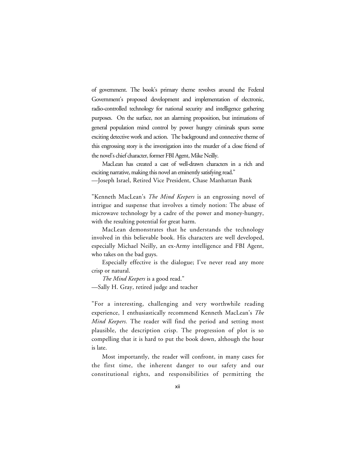of government. The book's primary theme revolves around the Federal Government's proposed development and implementation of electronic, radio-controlled technology for national security and intelligence gathering purposes. On the surface, not an alarming proposition, but intimations of general population mind control by power hungry criminals spurs some exciting detective work and action. The background and connective theme of this engrossing story is the investigation into the murder of a close friend of the novel's chief character, former FBI Agent, Mike Neilly.

MacLean has created a cast of well-drawn characters in a rich and exciting narrative, making this novel an eminently satisfying read."

—Joseph Israel, Retired Vice President, Chase Manhattan Bank

"Kenneth MacLean's *The Mind Keepers* is an engrossing novel of intrigue and suspense that involves a timely notion: The abuse of microwave technology by a cadre of the power and money-hungry, with the resulting potential for great harm.

MacLean demonstrates that he understands the technology involved in this believable book. His characters are well developed, especially Michael Neilly, an ex-Army intelligence and FBI Agent, who takes on the bad guys.

Especially effective is the dialogue; I've never read any more crisp or natural.

*The Mind Keepers* is a good read." —Sally H. Gray, retired judge and teacher

"For a interesting, challenging and very worthwhile reading experience, I enthusiastically recommend Kenneth MacLean's *The Mind Keepers.* The reader will find the period and setting most plausible, the description crisp. The progression of plot is so compelling that it is hard to put the book down, although the hour is late.

Most importantly, the reader will confront, in many cases for the first time, the inherent danger to our safety and our constitutional rights, and responsibilities of permitting the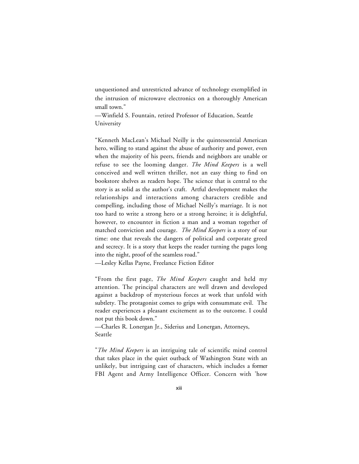unquestioned and unrestricted advance of technology exemplified in the intrusion of microwave electronics on a thoroughly American small town."

—Winfield S. Fountain, retired Professor of Education, Seattle University

"Kenneth MacLean's Michael Neilly is the quintessential American hero, willing to stand against the abuse of authority and power, even when the majority of his peers, friends and neighbors are unable or refuse to see the looming danger. *The Mind Keepers* is a well conceived and well written thriller, not an easy thing to find on bookstore shelves as readers hope. The science that is central to the story is as solid as the author's craft. Artful development makes the relationships and interactions among characters credible and compelling, including those of Michael Neilly's marriage. It is not too hard to write a strong hero or a strong heroine; it is delightful, however, to encounter in fiction a man and a woman together of matched conviction and courage. *The Mind Keepers* is a story of our time: one that reveals the dangers of political and corporate greed and secrecy. It is a story that keeps the reader turning the pages long into the night, proof of the seamless road."

—Lesley Kellas Payne, Freelance Fiction Editor

"From the first page, *The Mind Keepers* caught and held my attention. The principal characters are well drawn and developed against a backdrop of mysterious forces at work that unfold with subtlety. The protagonist comes to grips with consummate evil. The reader experiences a pleasant excitement as to the outcome. I could not put this book down."

—Charles R. Lonergan Jr., Siderius and Lonergan, Attorneys, Seattle

"*The Mind Keepers* is an intriguing tale of scientific mind control that takes place in the quiet outback of Washington State with an unlikely, but intriguing cast of characters, which includes a former FBI Agent and Army Intelligence Officer. Concern with 'how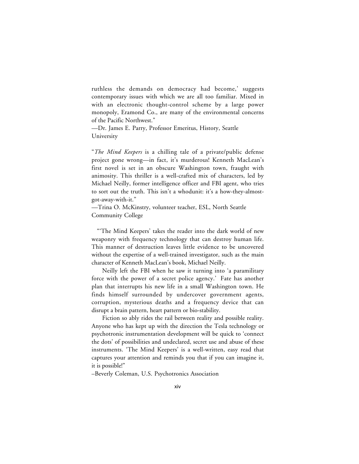ruthless the demands on democracy had become,' suggests contemporary issues with which we are all too familiar. Mixed in with an electronic thought-control scheme by a large power monopoly, Eramond Co., are many of the environmental concerns of the Pacific Northwest."

—Dr. James E. Parry, Professor Emeritus, History, Seattle University

"*The Mind Keepers* is a chilling tale of a private/public defense project gone wrong—in fact, it's murderous! Kenneth MacLean's first novel is set in an obscure Washington town, fraught with animosity. This thriller is a well-crafted mix of characters, led by Michael Neilly, former intelligence officer and FBI agent, who tries to sort out the truth. This isn't a whodunit: it's a how-they-almostgot-away-with-it."

—Trina O. McKinstry, volunteer teacher, ESL, North Seattle Community College

"'The Mind Keepers' takes the reader into the dark world of new weaponry with frequency technology that can destroy human life. This manner of destruction leaves little evidence to be uncovered without the expertise of a well-trained investigator, such as the main character of Kenneth MacLean's book, Michael Neilly.

Neilly left the FBI when he saw it turning into 'a paramilitary force with the power of a secret police agency.' Fate has another plan that interrupts his new life in a small Washington town. He finds himself surrounded by undercover government agents, corruption, mysterious deaths and a frequency device that can disrupt a brain pattern, heart pattern or bio-stability.

Fiction so ably rides the rail between reality and possible reality. Anyone who has kept up with the direction the Tesla technology or psychotronic instrumentation development will be quick to 'connect the dots' of possibilities and undeclared, secret use and abuse of these instruments. 'The Mind Keepers' is a well-written, easy read that captures your attention and reminds you that if you can imagine it, it is possible!"

–Beverly Coleman, U.S. Psychotronics Association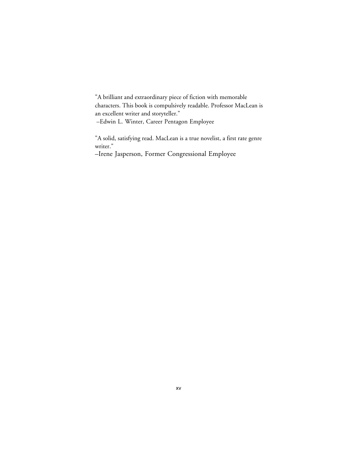"A brilliant and extraordinary piece of fiction with memorable characters. This book is compulsively readable. Professor MacLean is an excellent writer and storyteller."

–Edwin L. Winter, Career Pentagon Employee

"A solid, satisfying read. MacLean is a true novelist, a first rate genre writer."

–Irene Jasperson, Former Congressional Employee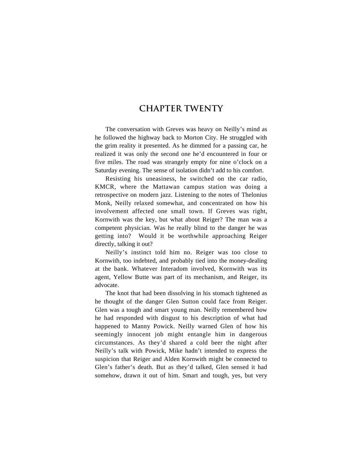#### **CHAPTER TWENTY**

The conversation with Greves was heavy on Neilly's mind as he followed the highway back to Morton City. He struggled with the grim reality it presented. As he dimmed for a passing car, he realized it was only the second one he'd encountered in four or five miles. The road was strangely empty for nine o'clock on a Saturday evening. The sense of isolation didn't add to his comfort.

Resisting his uneasiness, he switched on the car radio, KMCR, where the Mattawan campus station was doing a retrospective on modern jazz. Listening to the notes of Thelonius Monk, Neilly relaxed somewhat, and concentrated on how his involvement affected one small town. If Greves was right, Kornwith was the key, but what about Reiger? The man was a competent physician. Was he really blind to the danger he was getting into? Would it be worthwhile approaching Reiger directly, talking it out?

Neilly's instinct told him no. Reiger was too close to Kornwith, too indebted, and probably tied into the money-dealing at the bank. Whatever Interadom involved, Kornwith was its agent, Yellow Butte was part of its mechanism, and Reiger, its advocate.

The knot that had been dissolving in his stomach tightened as he thought of the danger Glen Sutton could face from Reiger. Glen was a tough and smart young man. Neilly remembered how he had responded with disgust to his description of what had happened to Manny Powick. Neilly warned Glen of how his seemingly innocent job might entangle him in dangerous circumstances. As they'd shared a cold beer the night after Neilly's talk with Powick, Mike hadn't intended to express the suspicion that Reiger and Alden Kornwith might be connected to Glen's father's death. But as they'd talked, Glen sensed it had somehow, drawn it out of him. Smart and tough, yes, but very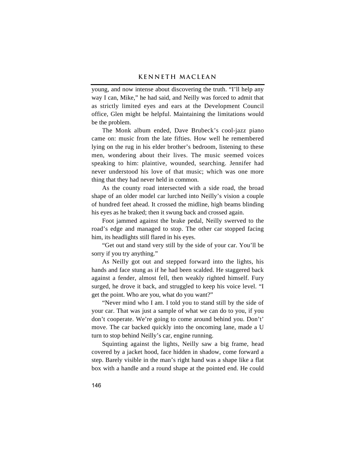young, and now intense about discovering the truth. "I'll help any way I can, Mike," he had said, and Neilly was forced to admit that as strictly limited eyes and ears at the Development Council office, Glen might be helpful. Maintaining the limitations would be the problem.

The Monk album ended, Dave Brubeck's cool-jazz piano came on: music from the late fifties. How well he remembered lying on the rug in his elder brother's bedroom, listening to these men, wondering about their lives. The music seemed voices speaking to him: plaintive, wounded, searching. Jennifer had never understood his love of that music; which was one more thing that they had never held in common.

As the county road intersected with a side road, the broad shape of an older model car lurched into Neilly's vision a couple of hundred feet ahead. It crossed the midline, high beams blinding his eyes as he braked; then it swung back and crossed again.

Foot jammed against the brake pedal, Neilly swerved to the road's edge and managed to stop. The other car stopped facing him, its headlights still flared in his eyes.

"Get out and stand very still by the side of your car. You'll be sorry if you try anything."

As Neilly got out and stepped forward into the lights, his hands and face stung as if he had been scalded. He staggered back against a fender, almost fell, then weakly righted himself. Fury surged, he drove it back, and struggled to keep his voice level. "I get the point. Who are you, what do you want?"

"Never mind who I am. I told you to stand still by the side of your car. That was just a sample of what we can do to you, if you don't cooperate. We're going to come around behind you. Don't' move. The car backed quickly into the oncoming lane, made a U turn to stop behind Neilly's car, engine running.

Squinting against the lights, Neilly saw a big frame, head covered by a jacket hood, face hidden in shadow, come forward a step. Barely visible in the man's right hand was a shape like a flat box with a handle and a round shape at the pointed end. He could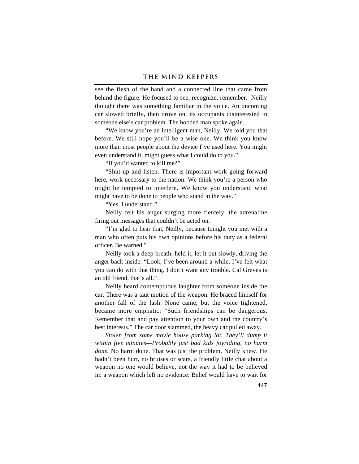see the flesh of the hand and a connected line that came from behind the figure. He focused to see, recognize, remember. Neilly thought there was something familiar in the voice. An oncoming car slowed briefly, then drove on, its occupants disinterested in someone else's car problem. The hooded man spoke again.

"We know you're an intelligent man, Neilly. We told you that before. We still hope you'll be a wise one. We think you know more than most people about the device I've used here. You might even understand it, might guess what I could do to you."

"If you'd wanted to kill me?"

"Shut up and listen. There is important work going forward here, work necessary to the nation. We think you're a person who might be tempted to interfere. We know you understand what might have to be done to people who stand in the way."

"Yes, I understand."

Neilly felt his anger surging more fiercely, the adrenaline firing out messages that couldn't be acted on.

"I'm glad to hear that, Neilly, because tonight you met with a man who often puts his own opinions before his duty as a federal officer. Be warned"

Neilly took a deep breath, held it, let it out slowly, driving the anger back inside. "Look, I've been around a while. I've felt what you can do with that thing. I don't want any trouble. Cal Greves is an old friend, that's all."

Neilly heard contemptuous laughter from someone inside the car. There was a taut motion of the weapon. He braced himself for another fall of the lash. None came, but the voice tightened, became more emphatic: "Such friendships can be dangerous. Remember that and pay attention to your own and the country's best interests." The car door slammed, the heavy car pulled away.

*Stolen from some movie house parking lot. They'll dump it within five minutes—Probably just bad kids joyriding, no harm done.* No harm done. That was just the problem, Neilly knew. He hadn't been hurt, no bruises or scars, a friendly little chat about a weapon no one would believe, not the way it had to be believed in: a weapon which left no evidence. Belief would have to wait for